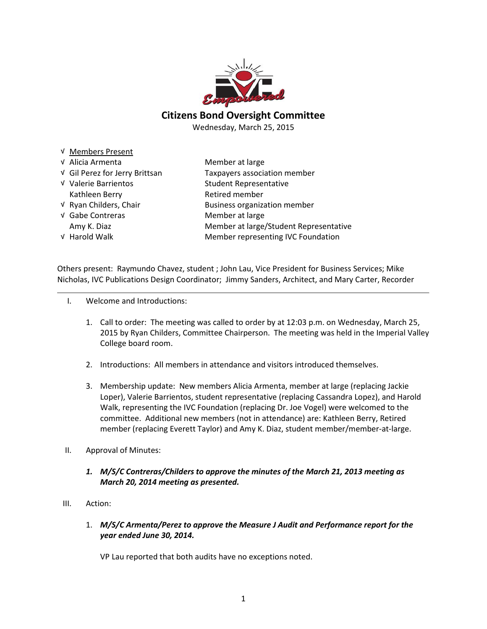

### Citizens Bond Oversight Committee

Wednesday, March 25, 2015

| √ Members Present              |                                        |
|--------------------------------|----------------------------------------|
| √ Alicia Armenta               | Member at large                        |
| √ Gil Perez for Jerry Brittsan | Taxpayers association member           |
| √ Valerie Barrientos           | <b>Student Representative</b>          |
| Kathleen Berry                 | Retired member                         |
| V Ryan Childers, Chair         | <b>Business organization member</b>    |
| √ Gabe Contreras               | Member at large                        |
| Amy K. Diaz                    | Member at large/Student Representative |
| √ Harold Walk                  | Member representing IVC Foundation     |

Others present: Raymundo Chavez, student ; John Lau, Vice President for Business Services; Mike Nicholas, IVC Publications Design Coordinator; Jimmy Sanders, Architect, and Mary Carter, Recorder

- I. Welcome and Introductions:
	- 1. Call to order: The meeting was called to order by at 12:03 p.m. on Wednesday, March 25, 2015 by Ryan Childers, Committee Chairperson. The meeting was held in the Imperial Valley College board room.
	- 2. Introductions: All members in attendance and visitors introduced themselves.
	- 3. Membership update: New members Alicia Armenta, member at large (replacing Jackie Loper), Valerie Barrientos, student representative (replacing Cassandra Lopez), and Harold Walk, representing the IVC Foundation (replacing Dr. Joe Vogel) were welcomed to the committee. Additional new members (not in attendance) are: Kathleen Berry, Retired member (replacing Everett Taylor) and Amy K. Diaz, student member/member-at-large.
- II. Approval of Minutes:
	- 1. M/S/C Contreras/Childers to approve the minutes of the March 21, 2013 meeting as March 20, 2014 meeting as presented.
- III. Action:
	- 1. M/S/C Armenta/Perez to approve the Measure J Audit and Performance report for the year ended June 30, 2014.

VP Lau reported that both audits have no exceptions noted.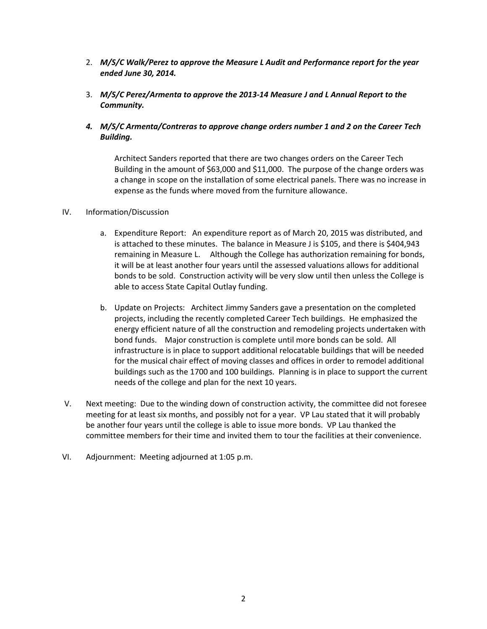- 2. M/S/C Walk/Perez to approve the Measure L Audit and Performance report for the year ended June 30, 2014.
- 3. M/S/C Perez/Armenta to approve the 2013-14 Measure J and L Annual Report to the Community.
- 4. M/S/C Armenta/Contreras to approve change orders number 1 and 2 on the Career Tech Building.

Architect Sanders reported that there are two changes orders on the Career Tech Building in the amount of \$63,000 and \$11,000. The purpose of the change orders was a change in scope on the installation of some electrical panels. There was no increase in expense as the funds where moved from the furniture allowance.

### IV. Information/Discussion

- a. Expenditure Report: An expenditure report as of March 20, 2015 was distributed, and is attached to these minutes. The balance in Measure J is \$105, and there is \$404,943 remaining in Measure L. Although the College has authorization remaining for bonds, it will be at least another four years until the assessed valuations allows for additional bonds to be sold. Construction activity will be very slow until then unless the College is able to access State Capital Outlay funding.
- b. Update on Projects: Architect Jimmy Sanders gave a presentation on the completed projects, including the recently completed Career Tech buildings. He emphasized the energy efficient nature of all the construction and remodeling projects undertaken with bond funds. Major construction is complete until more bonds can be sold. All infrastructure is in place to support additional relocatable buildings that will be needed for the musical chair effect of moving classes and offices in order to remodel additional buildings such as the 1700 and 100 buildings. Planning is in place to support the current needs of the college and plan for the next 10 years.
- V. Next meeting: Due to the winding down of construction activity, the committee did not foresee meeting for at least six months, and possibly not for a year. VP Lau stated that it will probably be another four years until the college is able to issue more bonds. VP Lau thanked the committee members for their time and invited them to tour the facilities at their convenience.
- VI. Adjournment: Meeting adjourned at 1:05 p.m.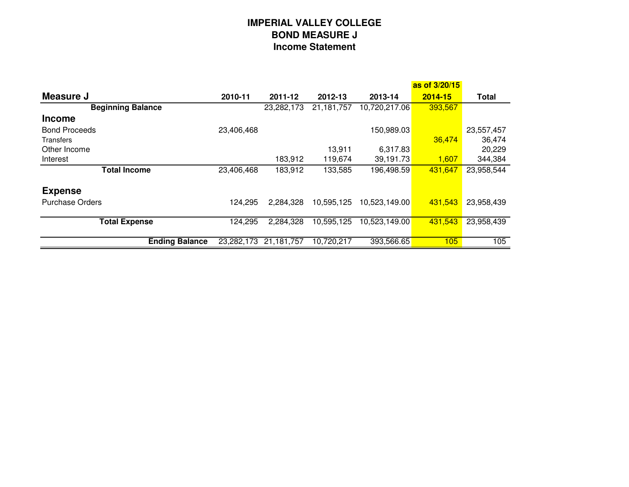# **IMPERIAL VALLEY COLLEGEBOND MEASURE JIncome Statement**

|                          |            |            |              |               | as of 3/20/15 |              |
|--------------------------|------------|------------|--------------|---------------|---------------|--------------|
| Measure J                | 2010-11    | 2011-12    | 2012-13      | 2013-14       | $2014 - 15$   | <b>Total</b> |
| <b>Beginning Balance</b> |            | 23,282,173 | 21, 181, 757 | 10,720,217.06 | 393,567       |              |
| <b>Income</b>            |            |            |              |               |               |              |
| <b>Bond Proceeds</b>     | 23,406,468 |            |              | 150,989.03    |               | 23,557,457   |
| Transfers                |            |            |              |               | 36,474        | 36,474       |
| Other Income             |            |            | 13,911       | 6,317.83      |               | 20,229       |
| Interest                 |            | 183,912    | 119,674      | 39,191.73     | 1,607         | 344,384      |
| <b>Total Income</b>      | 23,406,468 | 183,912    | 133,585      | 196,498.59    | 431,647       | 23,958,544   |
| <b>Expense</b>           |            |            |              |               |               |              |
| <b>Purchase Orders</b>   | 124,295    | 2,284,328  | 10,595,125   | 10,523,149.00 | 431,543       | 23,958,439   |
| <b>Total Expense</b>     | 124,295    | 2,284,328  | 10,595,125   | 10,523,149.00 | 431,543       | 23,958,439   |
| <b>Ending Balance</b>    | 23,282,173 | 21,181,757 | 10,720,217   | 393,566.65    | 105           | 105          |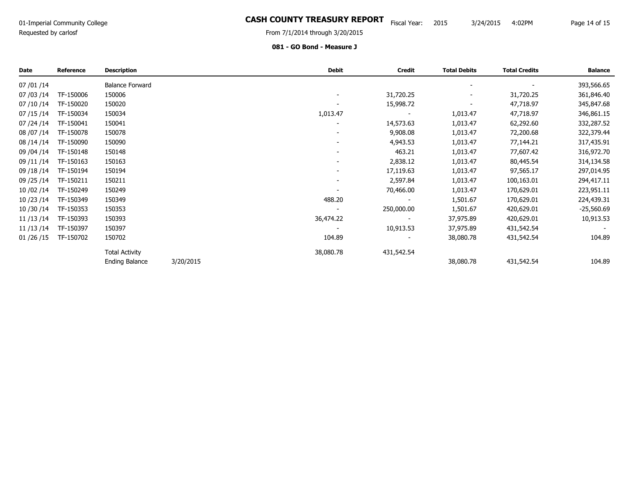# 01-Imperial Community College **Example 2016 COUNTY TREASURY REPORT** Fiscal Year: 2015 3/24/2015 4:02PM Page 14 of 1<br>Primated by redstine the same of the same of the same of the same of the same of the same of the same of t

Requested by carlosf

From 7/1/2014 through 3/20/2015

#### 081 - GO Bond - Measure J

| Date         | <b>Reference</b> | <b>Description</b>     |           | Debit     | <b>Credit</b> | <b>Total Debits</b> | <b>Total Credits</b> | <b>Balance</b> |
|--------------|------------------|------------------------|-----------|-----------|---------------|---------------------|----------------------|----------------|
| 07 / 01 / 14 |                  | <b>Balance Forward</b> |           |           |               |                     |                      | 393,566.65     |
| 07 / 03 / 14 | TF-150006        | 150006                 |           |           | 31,720.25     |                     | 31,720.25            | 361,846.40     |
| 07 / 10 / 14 | TF-150020        | 150020                 |           |           | 15,998.72     |                     | 47,718.97            | 345,847.68     |
| 07/15/14     | TF-150034        | 150034                 |           | 1,013.47  |               | 1,013.47            | 47,718.97            | 346,861.15     |
| 07 / 24 / 14 | TF-150041        | 150041                 |           |           | 14,573.63     | 1,013.47            | 62,292.60            | 332,287.52     |
| 08 / 07 / 14 | TF-150078        | 150078                 |           |           | 9,908.08      | 1,013.47            | 72,200.68            | 322,379.44     |
| 08 / 14 / 14 | TF-150090        | 150090                 |           |           | 4,943.53      | 1,013.47            | 77,144.21            | 317,435.91     |
| 09 / 04 / 14 | TF-150148        | 150148                 |           |           | 463.21        | 1,013.47            | 77,607.42            | 316,972.70     |
| 09 / 11 / 14 | TF-150163        | 150163                 |           |           | 2,838.12      | 1,013.47            | 80,445.54            | 314,134.58     |
| 09 / 18 / 14 | TF-150194        | 150194                 |           |           | 17,119.63     | 1,013.47            | 97,565.17            | 297,014.95     |
| 09 / 25 / 14 | TF-150211        | 150211                 |           |           | 2,597.84      | 1,013.47            | 100,163.01           | 294,417.11     |
| 10 / 02 / 14 | TF-150249        | 150249                 |           |           | 70,466.00     | 1,013.47            | 170,629.01           | 223,951.11     |
| 10 / 23 / 14 | TF-150349        | 150349                 |           | 488.20    |               | 1,501.67            | 170,629.01           | 224,439.31     |
| 10/30/14     | TF-150353        | 150353                 |           |           | 250,000.00    | 1,501.67            | 420,629.01           | $-25,560.69$   |
| 11/13/14     | TF-150393        | 150393                 |           | 36,474.22 |               | 37,975.89           | 420,629.01           | 10,913.53      |
| 11/13/14     | TF-150397        | 150397                 |           |           | 10,913.53     | 37,975.89           | 431,542.54           |                |
| 01/26/15     | TF-150702        | 150702                 |           | 104.89    |               | 38,080.78           | 431,542.54           | 104.89         |
|              |                  | <b>Total Activity</b>  |           | 38,080.78 | 431,542.54    |                     |                      |                |
|              |                  | <b>Ending Balance</b>  | 3/20/2015 |           |               | 38,080.78           | 431,542.54           | 104.89         |

Page 14 of 15

3/24/2015 4:02PM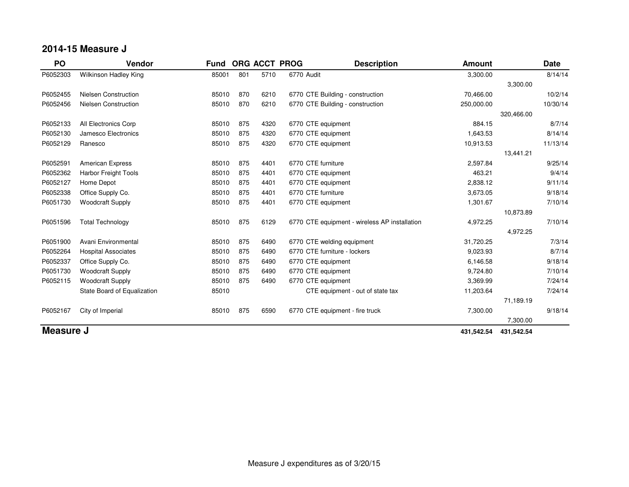## **2014-15 Measure J**

| PO        | Vendor                      | Fund  |     |      | ORG ACCT PROG<br><b>Description</b>           | <b>Amount</b> |            | <b>Date</b> |
|-----------|-----------------------------|-------|-----|------|-----------------------------------------------|---------------|------------|-------------|
| P6052303  | Wilkinson Hadley King       | 85001 | 801 | 5710 | 6770 Audit                                    | 3,300.00      |            | 8/14/14     |
|           |                             |       |     |      |                                               |               | 3,300.00   |             |
| P6052455  | <b>Nielsen Construction</b> | 85010 | 870 | 6210 | 6770 CTE Building - construction              | 70,466.00     |            | 10/2/14     |
| P6052456  | <b>Nielsen Construction</b> | 85010 | 870 | 6210 | 6770 CTE Building - construction              | 250,000.00    |            | 10/30/14    |
|           |                             |       |     |      |                                               |               | 320,466.00 |             |
| P6052133  | All Electronics Corp        | 85010 | 875 | 4320 | 6770 CTE equipment                            | 884.15        |            | 8/7/14      |
| P6052130  | Jamesco Electronics         | 85010 | 875 | 4320 | 6770 CTE equipment                            | 1,643.53      |            | 8/14/14     |
| P6052129  | Ranesco                     | 85010 | 875 | 4320 | 6770 CTE equipment                            | 10,913.53     |            | 11/13/14    |
|           |                             |       |     |      |                                               |               | 13,441.21  |             |
| P6052591  | <b>American Express</b>     | 85010 | 875 | 4401 | 6770 CTE furniture                            | 2,597.84      |            | 9/25/14     |
| P6052362  | <b>Harbor Freight Tools</b> | 85010 | 875 | 4401 | 6770 CTE equipment                            | 463.21        |            | 9/4/14      |
| P6052127  | Home Depot                  | 85010 | 875 | 4401 | 6770 CTE equipment                            | 2,838.12      |            | 9/11/14     |
| P6052338  | Office Supply Co.           | 85010 | 875 | 4401 | 6770 CTE furniture                            | 3,673.05      |            | 9/18/14     |
| P6051730  | <b>Woodcraft Supply</b>     | 85010 | 875 | 4401 | 6770 CTE equipment                            | 1,301.67      |            | 7/10/14     |
|           |                             |       |     |      |                                               |               | 10,873.89  |             |
| P6051596  | <b>Total Technology</b>     | 85010 | 875 | 6129 | 6770 CTE equipment - wireless AP installation | 4,972.25      |            | 7/10/14     |
|           |                             |       |     |      |                                               |               | 4,972.25   |             |
| P6051900  | Avani Environmental         | 85010 | 875 | 6490 | 6770 CTE welding equipment                    | 31,720.25     |            | 7/3/14      |
| P6052264  | <b>Hospital Associates</b>  | 85010 | 875 | 6490 | 6770 CTE furniture - lockers                  | 9,023.93      |            | 8/7/14      |
| P6052337  | Office Supply Co.           | 85010 | 875 | 6490 | 6770 CTE equipment                            | 6,146.58      |            | 9/18/14     |
| P6051730  | <b>Woodcraft Supply</b>     | 85010 | 875 | 6490 | 6770 CTE equipment                            | 9,724.80      |            | 7/10/14     |
| P6052115  | <b>Woodcraft Supply</b>     | 85010 | 875 | 6490 | 6770 CTE equipment                            | 3,369.99      |            | 7/24/14     |
|           | State Board of Equalization | 85010 |     |      | CTE equipment - out of state tax              | 11,203.64     |            | 7/24/14     |
|           |                             |       |     |      |                                               |               | 71,189.19  |             |
| P6052167  | City of Imperial            | 85010 | 875 | 6590 | 6770 CTE equipment - fire truck               | 7,300.00      |            | 9/18/14     |
|           |                             |       |     |      |                                               |               | 7,300.00   |             |
| Measure J |                             |       |     |      |                                               | 431,542.54    | 431,542.54 |             |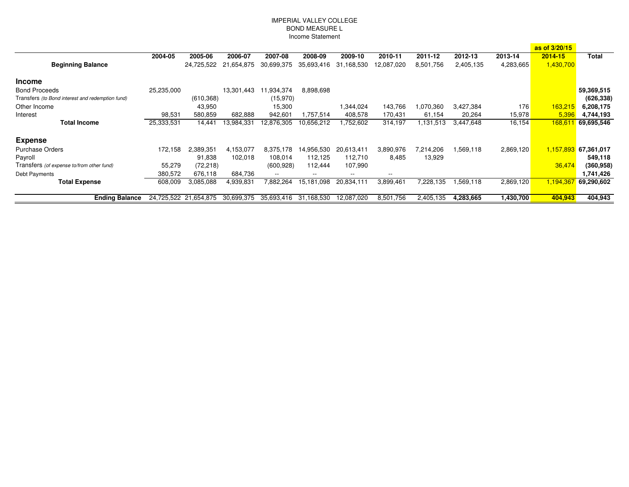#### IMPERIAL VALLEY COLLEGEBOND MEASURE LIncome Statement

|                                                  |            |                       |            |                          |                |            |            |           |           |           | as of 3/20/15  |              |
|--------------------------------------------------|------------|-----------------------|------------|--------------------------|----------------|------------|------------|-----------|-----------|-----------|----------------|--------------|
|                                                  | 2004-05    | 2005-06               | 2006-07    | 2007-08                  | 2008-09        | 2009-10    | 2010-11    | 2011-12   | 2012-13   | 2013-14   | 2014-15        | <b>Total</b> |
| <b>Beginning Balance</b>                         |            | 24.725.522            | 21,654,875 | 30.699.375               | 35,693,416     | 31,168,530 | 12.087.020 | 8,501,756 | 2,405,135 | 4,283,665 | 1,430,700      |              |
| <b>Income</b>                                    |            |                       |            |                          |                |            |            |           |           |           |                |              |
| <b>Bond Proceeds</b>                             | 25,235,000 |                       | 13,301,443 | 1,934,374                | 8,898,698      |            |            |           |           |           |                | 59,369,515   |
| Transfers (to Bond interest and redemption fund) |            | (610, 368)            |            | (15,970)                 |                |            |            |           |           |           |                | (626, 338)   |
| Other Income                                     |            | 43,950                |            | 15,300                   |                | 1,344,024  | 143,766    | 1,070,360 | 3,427,384 | 176       | <b>163,215</b> | 6,208,175    |
| Interest                                         | 98,531     | 580,859               | 682,888    | 942,601                  | 1,757,514      | 408,578    | 170,431    | 61,154    | 20,264    | 15,978    | 5,396          | 4,744,193    |
| <b>Total Income</b>                              | 25,333,531 | 14,441                | 13,984,331 | 12,876,305               | 10,656,212     | 1,752,602  | 314,197    | 1,131,513 | 3,447,648 | 16,154    | 168,61         | 69,695,546   |
| <b>Expense</b>                                   |            |                       |            |                          |                |            |            |           |           |           |                |              |
| <b>Purchase Orders</b>                           | 172,158    | 2,389,351             | 4,153,077  | 8,375,178                | 14,956,530     | 20,613,411 | 3,890,976  | 7,214,206 | 1,569,118 | 2,869,120 | 1,157,893      | 67,361,017   |
| Payroll                                          |            | 91,838                | 102.018    | 108,014                  | 112.125        | 112,710    | 8,485      | 13,929    |           |           |                | 549,118      |
| Transfers (of expense to/from other fund)        | 55,279     | (72, 218)             |            | (600, 928)               | 112,444        | 107,990    |            |           |           |           | 36,474         | (360, 958)   |
| Debt Payments                                    | 380,572    | 676,118               | 684,736    | $\overline{\phantom{m}}$ | $- -$          | --         | $- -$      |           |           |           |                | 1,741,426    |
| <b>Total Expense</b>                             | 608,009    | 3,085,088             | 4,939,831  | 7,882,264                | 15,181<br>.098 | 20,834,111 | 3,899,461  | 7,228,135 | 1,569,118 | 2,869,120 | 1,194,36       | 69,290,602   |
| <b>Ending Balance</b>                            |            | 24.725.522 21.654.875 | 30,699,375 | 35,693,416               | 31,168,530     | 12.087.020 | 8,501,756  | 2,405,135 | 4,283,665 | 1,430,700 | 404,943        | 404,943      |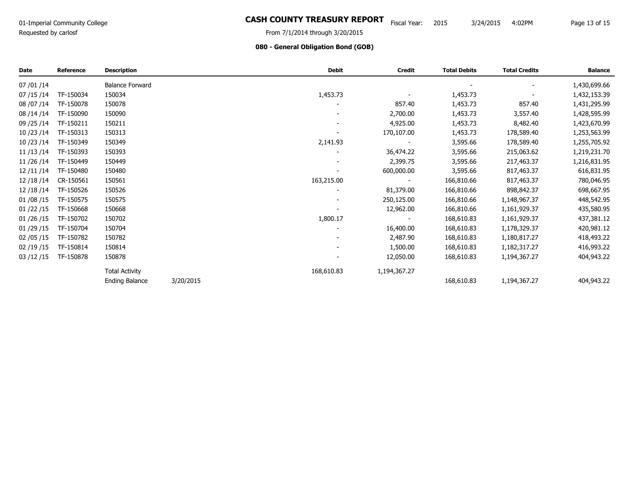# 01-Imperial Community College **Example 2016 COUNTY TREASURY REPORT** Fiscal Year: 2015 3/24/2015 4:02PM Page 13 of 1<br>Page 11 (2014 through 2/2012015 Fiscal Year: 2015 3/24/2015 4:02PM Page 13 of 1

Requested by carlosf

### From 7/1/2014 through 3/20/2015

Page 13 of 15

4:02PM

### 080 - General Obligation Bond (GOB)

| <b>Date</b>  | <b>Reference</b> | <b>Description</b>     |           | <b>Debit</b>             | <b>Credit</b>            | <b>Total Debits</b> | <b>Total Credits</b> | <b>Balance</b> |
|--------------|------------------|------------------------|-----------|--------------------------|--------------------------|---------------------|----------------------|----------------|
| 07 / 01 / 14 |                  | <b>Balance Forward</b> |           |                          |                          |                     |                      | 1,430,699.66   |
| 07 / 15 / 14 | TF-150034        | 150034                 |           | 1,453.73                 |                          | 1,453.73            |                      | 1,432,153.39   |
| 08 / 07 / 14 | TF-150078        | 150078                 |           |                          | 857.40                   | 1,453.73            | 857.40               | 1,431,295.99   |
| 08/14/14     | TF-150090        | 150090                 |           |                          | 2,700.00                 | 1,453.73            | 3,557.40             | 1,428,595.99   |
| 09 / 25 / 14 | TF-150211        | 150211                 |           |                          | 4,925.00                 | 1,453.73            | 8,482.40             | 1,423,670.99   |
| 10/23/14     | TF-150313        | 150313                 |           | $\overline{\phantom{a}}$ | 170,107.00               | 1,453.73            | 178,589.40           | 1,253,563.99   |
| 10/23/14     | TF-150349        | 150349                 |           | 2,141.93                 |                          | 3,595.66            | 178,589.40           | 1,255,705.92   |
| 11 / 13 / 14 | TF-150393        | 150393                 |           |                          | 36,474.22                | 3,595.66            | 215,063.62           | 1,219,231.70   |
| 11 / 26 / 14 | TF-150449        | 150449                 |           |                          | 2,399.75                 | 3,595.66            | 217,463.37           | 1,216,831.95   |
| 12/11/14     | TF-150480        | 150480                 |           |                          | 600,000.00               | 3,595.66            | 817,463.37           | 616,831.95     |
| 12/18/14     | CR-150561        | 150561                 |           | 163,215.00               | $\overline{\phantom{a}}$ | 166,810.66          | 817,463.37           | 780,046.95     |
| 12/18/14     | TF-150526        | 150526                 |           |                          | 81,379.00                | 166,810.66          | 898,842.37           | 698,667.95     |
| 01/08/15     | TF-150575        | 150575                 |           |                          | 250,125.00               | 166,810.66          | 1,148,967.37         | 448,542.95     |
| 01 / 22 / 15 | TF-150668        | 150668                 |           |                          | 12,962.00                | 166,810.66          | 1,161,929.37         | 435,580.95     |
| 01 / 26 / 15 | TF-150702        | 150702                 |           | 1,800.17                 |                          | 168,610.83          | 1,161,929.37         | 437,381.12     |
| 01 / 29 / 15 | TF-150704        | 150704                 |           |                          | 16,400.00                | 168,610.83          | 1,178,329.37         | 420,981.12     |
| 02 / 05 / 15 | TF-150782        | 150782                 |           |                          | 2,487.90                 | 168,610.83          | 1,180,817.27         | 418,493.22     |
| 02/19/15     | TF-150814        | 150814                 |           |                          | 1,500.00                 | 168,610.83          | 1,182,317.27         | 416,993.22     |
| 03 / 12 / 15 | TF-150878        | 150878                 |           |                          | 12,050.00                | 168,610.83          | 1,194,367.27         | 404,943.22     |
|              |                  | <b>Total Activity</b>  |           | 168,610.83               | 1,194,367.27             |                     |                      |                |
|              |                  | <b>Ending Balance</b>  | 3/20/2015 |                          |                          | 168,610.83          | 1,194,367.27         | 404,943.22     |